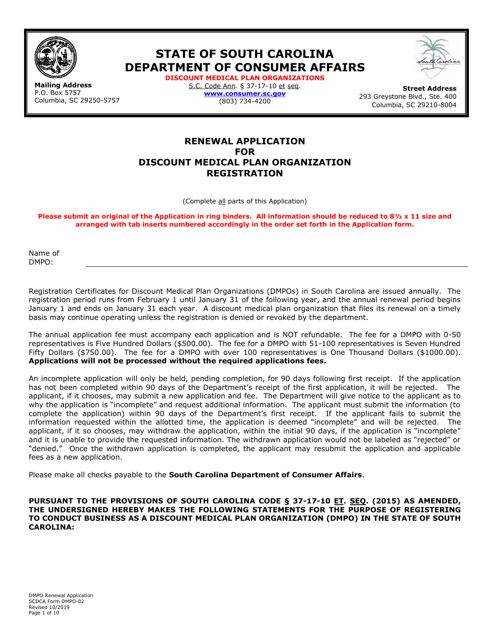

**STATE OF SOUTH CAROLINA DEPARTMENT OF CONSUMER AFFAIRS**



**Mailing Address** P.O. Box 5757 Columbia, SC 29250-5757 **DISCOUNT MEDICAL PLAN ORGANIZATIONS**  S.C. Code Ann. § 37-17-10 et seq. **[www.consumer.sc.gov](http://www.consumer.sc.gov/)** (803) 734-4200

**Street Address**  293 Greystone Blvd., Ste. 400 Columbia, SC 29210-8004

# **RENEWAL APPLICATION FOR DISCOUNT MEDICAL PLAN ORGANIZATION REGISTRATION**

(Complete all parts of this Application)

**Please submit an original of the Application in ring binders. All information should be reduced to 8½ x 11 size and arranged with tab inserts numbered accordingly in the order set forth in the Application form.** 

Name of DMPO:

Registration Certificates for Discount Medical Plan Organizations (DMPOs) in South Carolina are issued annually. The registration period runs from February 1 until January 31 of the following year, and the annual renewal period begins January 1 and ends on January 31 each year. A discount medical plan organization that files its renewal on a timely basis may continue operating unless the registration is denied or revoked by the department.

The annual application fee must accompany each application and is NOT refundable. The fee for a DMPO with 0-50 representatives is Five Hundred Dollars (\$500.00). The fee for a DMPO with 51-100 representatives is Seven Hundred Fifty Dollars (\$750.00). The fee for a DMPO with over 100 representatives is One Thousand Dollars (\$1000.00). **Applications will not be processed without the required applications fees.**

An incomplete application will only be held, pending completion, for 90 days following first receipt. If the application has not been completed within 90 days of the Department's receipt of the first application, it will be rejected. The applicant, if it chooses, may submit a new application and fee. The Department will give notice to the applicant as to why the application is "incomplete" and request additional information. The applicant must submit the information (to complete the application) within 90 days of the Department's first receipt. If the applicant fails to submit the information requested within the allotted time, the application is deemed "incomplete" and will be rejected. The applicant, if it so chooses, may withdraw the application, within the initial 90 days, if the application is "incomplete" and it is unable to provide the requested information. The withdrawn application would not be labeled as "rejected" or "denied." Once the withdrawn application is completed, the applicant may resubmit the application and applicable fees as a new application.

Please make all checks payable to the **South Carolina Department of Consumer Affairs**.

**PURSUANT TO THE PROVISIONS OF SOUTH CAROLINA CODE § 37-17-10 ET. SEQ. (2015) AS AMENDED, THE UNDERSIGNED HEREBY MAKES THE FOLLOWING STATEMENTS FOR THE PURPOSE OF REGISTERING TO CONDUCT BUSINESS AS A DISCOUNT MEDICAL PLAN ORGANIZATION (DMPO) IN THE STATE OF SOUTH CAROLINA:**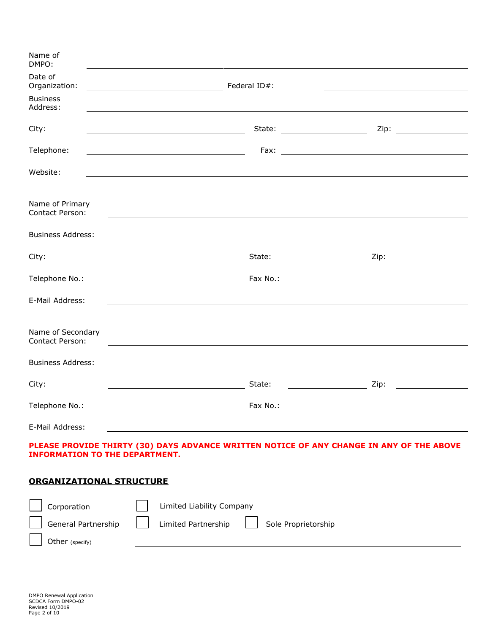| Name of<br>DMPO:                            |                                                                                                                      |                                                   |                                                                                                                                                                                                                                              |
|---------------------------------------------|----------------------------------------------------------------------------------------------------------------------|---------------------------------------------------|----------------------------------------------------------------------------------------------------------------------------------------------------------------------------------------------------------------------------------------------|
| Date of<br>Organization:                    |                                                                                                                      |                                                   |                                                                                                                                                                                                                                              |
| <b>Business</b><br>Address:                 |                                                                                                                      |                                                   |                                                                                                                                                                                                                                              |
| City:                                       |                                                                                                                      | State: ______________________                     |                                                                                                                                                                                                                                              |
| Telephone:                                  | <u> 1989 - Johann Barbara, martin amerikan basar dan basar dan basar dalam basar dalam basar dalam basar dalam b</u> |                                                   |                                                                                                                                                                                                                                              |
| Website:                                    |                                                                                                                      |                                                   |                                                                                                                                                                                                                                              |
| Name of Primary<br><b>Contact Person:</b>   |                                                                                                                      |                                                   |                                                                                                                                                                                                                                              |
| <b>Business Address:</b>                    |                                                                                                                      |                                                   |                                                                                                                                                                                                                                              |
| City:                                       |                                                                                                                      | State:                                            |                                                                                                                                                                                                                                              |
| Telephone No.:                              |                                                                                                                      |                                                   |                                                                                                                                                                                                                                              |
| E-Mail Address:                             | ,我们也不会有什么。""我们的人,我们也不会有什么?""我们的人,我们也不会有什么?""我们的人,我们也不会有什么?""我们的人,我们也不会有什么?""我们的人                                     |                                                   |                                                                                                                                                                                                                                              |
| Name of Secondary<br><b>Contact Person:</b> |                                                                                                                      |                                                   |                                                                                                                                                                                                                                              |
| <b>Business Address:</b>                    |                                                                                                                      |                                                   |                                                                                                                                                                                                                                              |
| City:                                       |                                                                                                                      | State:<br><u> 1989 - Johann Barbara, martin a</u> | Zip:<br><u>and the company of the company of the company of the company of the company of the company of the company of the company of the company of the company of the company of the company of the company of the company of the com</u> |
| Telephone No.:                              |                                                                                                                      | Fax No.:                                          |                                                                                                                                                                                                                                              |
| E-Mail Address:                             |                                                                                                                      |                                                   |                                                                                                                                                                                                                                              |

# **PLEASE PROVIDE THIRTY (30) DAYS ADVANCE WRITTEN NOTICE OF ANY CHANGE IN ANY OF THE ABOVE INFORMATION TO THE DEPARTMENT.**

# **ORGANIZATIONAL STRUCTURE**

| Corporation         | Limited Liability Company                  |
|---------------------|--------------------------------------------|
| General Partnership | Limited Partnership<br>Sole Proprietorship |
| Other (specify)     |                                            |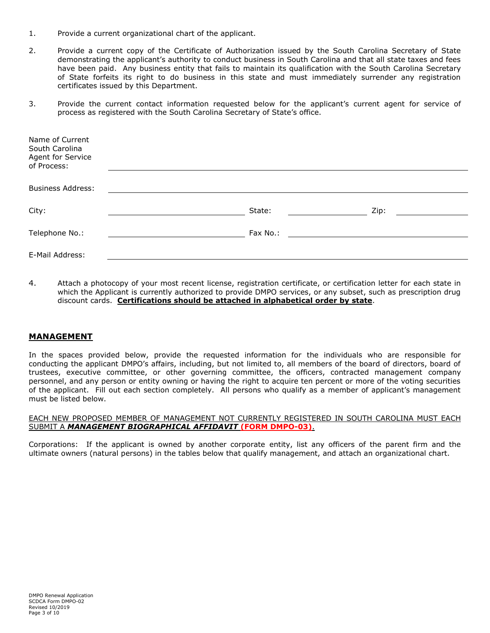- 1. Provide a current organizational chart of the applicant.
- 2. Provide a current copy of the Certificate of Authorization issued by the South Carolina Secretary of State demonstrating the applicant's authority to conduct business in South Carolina and that all state taxes and fees have been paid. Any business entity that fails to maintain its qualification with the South Carolina Secretary of State forfeits its right to do business in this state and must immediately surrender any registration certificates issued by this Department.
- 3. Provide the current contact information requested below for the applicant's current agent for service of process as registered with the South Carolina Secretary of State's office.

| Name of Current<br>South Carolina<br>Agent for Service<br>of Process: |          |      |
|-----------------------------------------------------------------------|----------|------|
|                                                                       |          |      |
| <b>Business Address:</b>                                              |          |      |
|                                                                       |          |      |
| City:                                                                 | State:   | Zip: |
|                                                                       |          |      |
| Telephone No.:                                                        | Fax No.: |      |
|                                                                       |          |      |
| E-Mail Address:                                                       |          |      |
|                                                                       |          |      |

4. Attach a photocopy of your most recent license, registration certificate, or certification letter for each state in which the Applicant is currently authorized to provide DMPO services, or any subset, such as prescription drug discount cards. **Certifications should be attached in alphabetical order by state**.

# **MANAGEMENT**

In the spaces provided below, provide the requested information for the individuals who are responsible for conducting the applicant DMPO's affairs, including, but not limited to, all members of the board of directors, board of trustees, executive committee, or other governing committee, the officers, contracted management company personnel, and any person or entity owning or having the right to acquire ten percent or more of the voting securities of the applicant. Fill out each section completely. All persons who qualify as a member of applicant's management must be listed below.

#### EACH NEW PROPOSED MEMBER OF MANAGEMENT NOT CURRENTLY REGISTERED IN SOUTH CAROLINA MUST EACH SUBMIT A *MANAGEMENT BIOGRAPHICAL AFFIDAVIT* **(FORM DMPO-03)**.

Corporations: If the applicant is owned by another corporate entity, list any officers of the parent firm and the ultimate owners (natural persons) in the tables below that qualify management, and attach an organizational chart.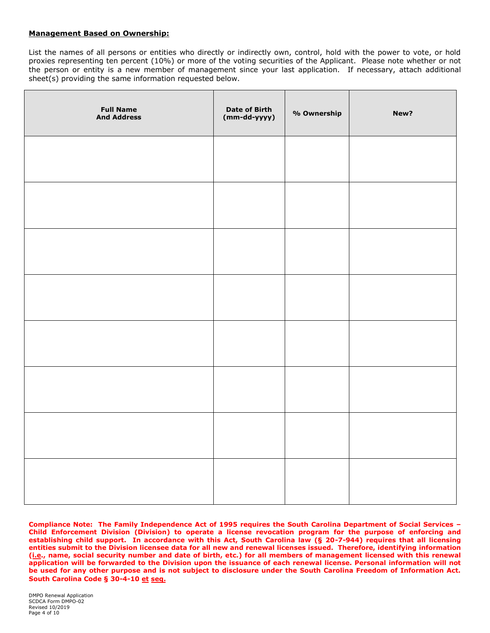#### **Management Based on Ownership:**

List the names of all persons or entities who directly or indirectly own, control, hold with the power to vote, or hold proxies representing ten percent (10%) or more of the voting securities of the Applicant. Please note whether or not the person or entity is a new member of management since your last application. If necessary, attach additional sheet(s) providing the same information requested below.

| <b>Full Name</b><br><b>And Address</b> | Date of Birth<br>(mm-dd-yyyy) | % Ownership | New? |
|----------------------------------------|-------------------------------|-------------|------|
|                                        |                               |             |      |
|                                        |                               |             |      |
|                                        |                               |             |      |
|                                        |                               |             |      |
|                                        |                               |             |      |
|                                        |                               |             |      |
|                                        |                               |             |      |
|                                        |                               |             |      |

**Compliance Note: The Family Independence Act of 1995 requires the South Carolina Department of Social Services – Child Enforcement Division (Division) to operate a license revocation program for the purpose of enforcing and establishing child support. In accordance with this Act, South Carolina law (§ 20-7-944) requires that all licensing entities submit to the Division licensee data for all new and renewal licenses issued. Therefore, identifying information (i.e., name, social security number and date of birth, etc.) for all members of management licensed with this renewal application will be forwarded to the Division upon the issuance of each renewal license. Personal information will not**  be used for any other purpose and is not subject to disclosure under the South Carolina Freedom of Information Act. **South Carolina Code § 30-4-10 et seq.**

DMPO Renewal Application SCDCA Form DMPO-02 Revised 10/2019 Page 4 of 10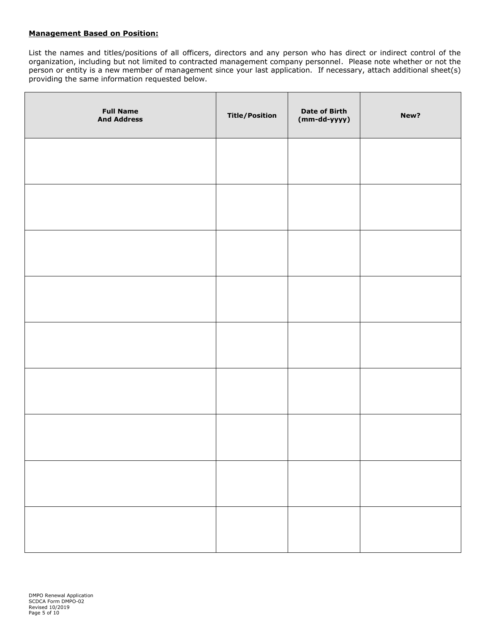## **Management Based on Position:**

List the names and titles/positions of all officers, directors and any person who has direct or indirect control of the organization, including but not limited to contracted management company personnel. Please note whether or not the person or entity is a new member of management since your last application. If necessary, attach additional sheet(s) providing the same information requested below.

| <b>Full Name</b><br><b>And Address</b> | <b>Title/Position</b> | <b>Date of Birth</b><br>$(mm-dd-yyyy)$ | New? |
|----------------------------------------|-----------------------|----------------------------------------|------|
|                                        |                       |                                        |      |
|                                        |                       |                                        |      |
|                                        |                       |                                        |      |
|                                        |                       |                                        |      |
|                                        |                       |                                        |      |
|                                        |                       |                                        |      |
|                                        |                       |                                        |      |
|                                        |                       |                                        |      |
|                                        |                       |                                        |      |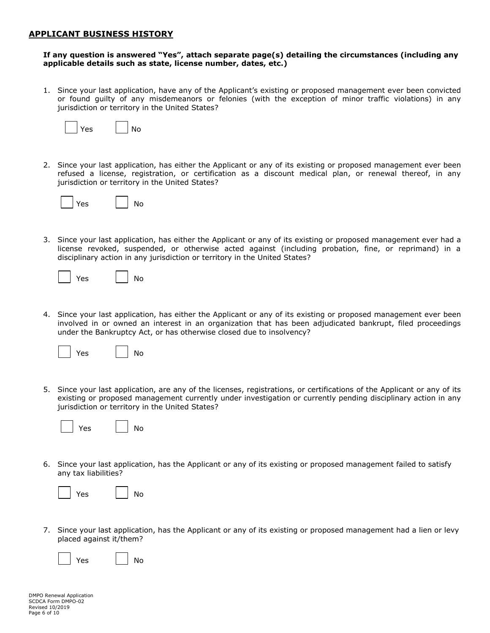## **APPLICANT BUSINESS HISTORY**

#### **If any question is answered "Yes", attach separate page(s) detailing the circumstances (including any applicable details such as state, license number, dates, etc.)**

1. Since your last application, have any of the Applicant's existing or proposed management ever been convicted or found guilty of any misdemeanors or felonies (with the exception of minor traffic violations) in any jurisdiction or territory in the United States?



2. Since your last application, has either the Applicant or any of its existing or proposed management ever been refused a license, registration, or certification as a discount medical plan, or renewal thereof, in any jurisdiction or territory in the United States?



3. Since your last application, has either the Applicant or any of its existing or proposed management ever had a license revoked, suspended, or otherwise acted against (including probation, fine, or reprimand) in a disciplinary action in any jurisdiction or territory in the United States?

| Yes | N٥ |
|-----|----|
|-----|----|

4. Since your last application, has either the Applicant or any of its existing or proposed management ever been involved in or owned an interest in an organization that has been adjudicated bankrupt, filed proceedings under the Bankruptcy Act, or has otherwise closed due to insolvency?



5. Since your last application, are any of the licenses, registrations, or certifications of the Applicant or any of its existing or proposed management currently under investigation or currently pending disciplinary action in any jurisdiction or territory in the United States?

|  | Y≏s |  | N۵ |
|--|-----|--|----|
|--|-----|--|----|

6. Since your last application, has the Applicant or any of its existing or proposed management failed to satisfy any tax liabilities?

|  | YAc |  | N٥ |
|--|-----|--|----|
|--|-----|--|----|

7. Since your last application, has the Applicant or any of its existing or proposed management had a lien or levy placed against it/them?

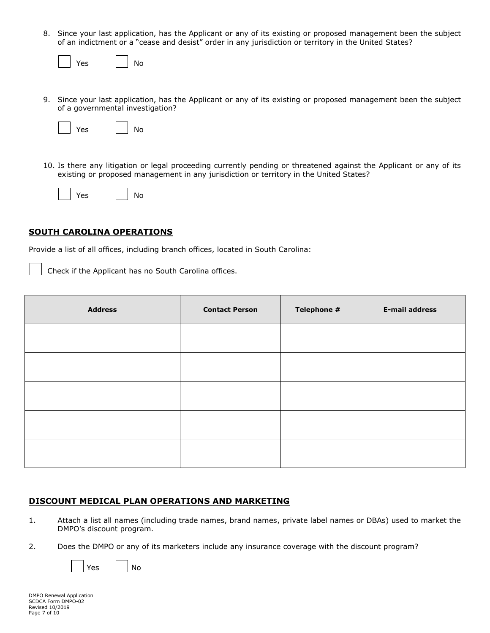8. Since your last application, has the Applicant or any of its existing or proposed management been the subject of an indictment or a "cease and desist" order in any jurisdiction or territory in the United States?

|  | AC |  |  | N٥ |
|--|----|--|--|----|
|--|----|--|--|----|

9. Since your last application, has the Applicant or any of its existing or proposed management been the subject of a governmental investigation?

| Yes | No |
|-----|----|
|-----|----|

10. Is there any litigation or legal proceeding currently pending or threatened against the Applicant or any of its existing or proposed management in any jurisdiction or territory in the United States?

| N٥<br>Yes. |
|------------|
|------------|

# **SOUTH CAROLINA OPERATIONS**

Provide a list of all offices, including branch offices, located in South Carolina:

Check if the Applicant has no South Carolina offices.

| <b>Address</b> | <b>Contact Person</b> | Telephone # | <b>E-mail address</b> |
|----------------|-----------------------|-------------|-----------------------|
|                |                       |             |                       |
|                |                       |             |                       |
|                |                       |             |                       |
|                |                       |             |                       |
|                |                       |             |                       |

# **DISCOUNT MEDICAL PLAN OPERATIONS AND MARKETING**

- 1. Attach a list all names (including trade names, brand names, private label names or DBAs) used to market the DMPO's discount program.
- 2. Does the DMPO or any of its marketers include any insurance coverage with the discount program?

|  |  |  | N٥ |
|--|--|--|----|
|--|--|--|----|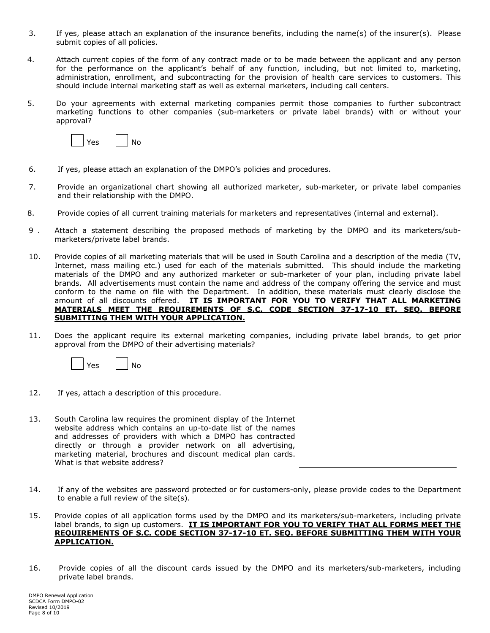- 3. If yes, please attach an explanation of the insurance benefits, including the name(s) of the insurer(s). Please submit copies of all policies.
- 4. Attach current copies of the form of any contract made or to be made between the applicant and any person for the performance on the applicant's behalf of any function, including, but not limited to, marketing, administration, enrollment, and subcontracting for the provision of health care services to customers. This should include internal marketing staff as well as external marketers, including call centers.
- 5. Do your agreements with external marketing companies permit those companies to further subcontract marketing functions to other companies (sub-marketers or private label brands) with or without your approval?



- 6. If yes, please attach an explanation of the DMPO's policies and procedures.
- 7. Provide an organizational chart showing all authorized marketer, sub-marketer, or private label companies and their relationship with the DMPO.
- 8. Provide copies of all current training materials for marketers and representatives (internal and external).
- 9 . Attach a statement describing the proposed methods of marketing by the DMPO and its marketers/submarketers/private label brands.
- 10. Provide copies of all marketing materials that will be used in South Carolina and a description of the media (TV, Internet, mass mailing etc.) used for each of the materials submitted. This should include the marketing materials of the DMPO and any authorized marketer or sub-marketer of your plan, including private label brands. All advertisements must contain the name and address of the company offering the service and must conform to the name on file with the Department. In addition, these materials must clearly disclose the amount of all discounts offered. **IT IS IMPORTANT FOR YOU TO VERIFY THAT ALL MARKETING MATERIALS MEET THE REQUIREMENTS OF S.C. CODE SECTION 37-17-10 ET. SEQ. BEFORE SUBMITTING THEM WITH YOUR APPLICATION.**
- 11. Does the applicant require its external marketing companies, including private label brands, to get prior approval from the DMPO of their advertising materials?



- 12. If yes, attach a description of this procedure.
- 13. South Carolina law requires the prominent display of the Internet website address which contains an up-to-date list of the names and addresses of providers with which a DMPO has contracted directly or through a provider network on all advertising, marketing material, brochures and discount medical plan cards. What is that website address?
- 14. If any of the websites are password protected or for customers-only, please provide codes to the Department to enable a full review of the site(s).
- 15. Provide copies of all application forms used by the DMPO and its marketers/sub-marketers, including private label brands, to sign up customers. **IT IS IMPORTANT FOR YOU TO VERIFY THAT ALL FORMS MEET THE REQUIREMENTS OF S.C. CODE SECTION 37-17-10 ET. SEQ. BEFORE SUBMITTING THEM WITH YOUR APPLICATION.**
- 16. Provide copies of all the discount cards issued by the DMPO and its marketers/sub-marketers, including private label brands.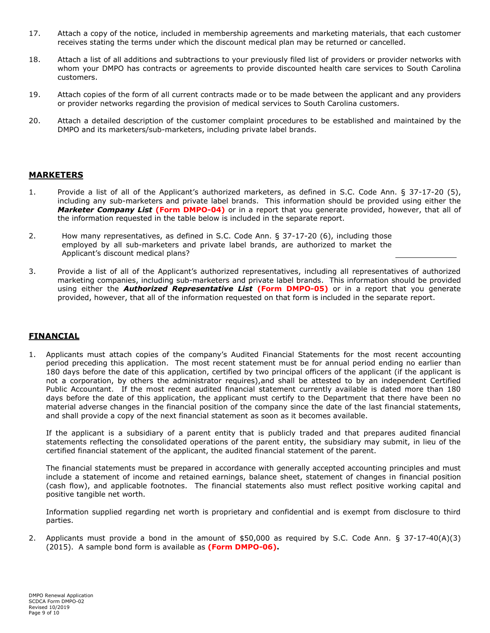- 17. Attach a copy of the notice, included in membership agreements and marketing materials, that each customer receives stating the terms under which the discount medical plan may be returned or cancelled.
- 18. Attach a list of all additions and subtractions to your previously filed list of providers or provider networks with whom your DMPO has contracts or agreements to provide discounted health care services to South Carolina customers.
- 19. Attach copies of the form of all current contracts made or to be made between the applicant and any providers or provider networks regarding the provision of medical services to South Carolina customers.
- 20. Attach a detailed description of the customer complaint procedures to be established and maintained by the DMPO and its marketers/sub-marketers, including private label brands.

## **MARKETERS**

- 1. Provide a list of all of the Applicant's authorized marketers, as defined in S.C. Code Ann. § 37-17-20 (5), including any sub-marketers and private label brands. This information should be provided using either the *Marketer Company List* **(Form DMPO-04)** or in a report that you generate provided, however, that all of the information requested in the table below is included in the separate report.
- 2. How many representatives, as defined in S.C. Code Ann. § 37-17-20 (6), including those employed by all sub-marketers and private label brands, are authorized to market the Applicant's discount medical plans?
- 3. Provide a list of all of the Applicant's authorized representatives, including all representatives of authorized marketing companies, including sub-marketers and private label brands. This information should be provided using either the *Authorized Representative List* **(Form DMPO-05)** or in a report that you generate provided, however, that all of the information requested on that form is included in the separate report.

# **FINANCIAL**

1. Applicants must attach copies of the company's Audited Financial Statements for the most recent accounting period preceding this application. The most recent statement must be for annual period ending no earlier than 180 days before the date of this application, certified by two principal officers of the applicant (if the applicant is not a corporation, by others the administrator requires),and shall be attested to by an independent Certified Public Accountant. If the most recent audited financial statement currently available is dated more than 180 days before the date of this application, the applicant must certify to the Department that there have been no material adverse changes in the financial position of the company since the date of the last financial statements, and shall provide a copy of the next financial statement as soon as it becomes available.

If the applicant is a subsidiary of a parent entity that is publicly traded and that prepares audited financial statements reflecting the consolidated operations of the parent entity, the subsidiary may submit, in lieu of the certified financial statement of the applicant, the audited financial statement of the parent.

The financial statements must be prepared in accordance with generally accepted accounting principles and must include a statement of income and retained earnings, balance sheet, statement of changes in financial position (cash flow), and applicable footnotes. The financial statements also must reflect positive working capital and positive tangible net worth.

Information supplied regarding net worth is proprietary and confidential and is exempt from disclosure to third parties.

2. Applicants must provide a bond in the amount of \$50,000 as required by S.C. Code Ann. § 37-17-40(A)(3) (2015). A sample bond form is available as **(Form DMPO-06).**